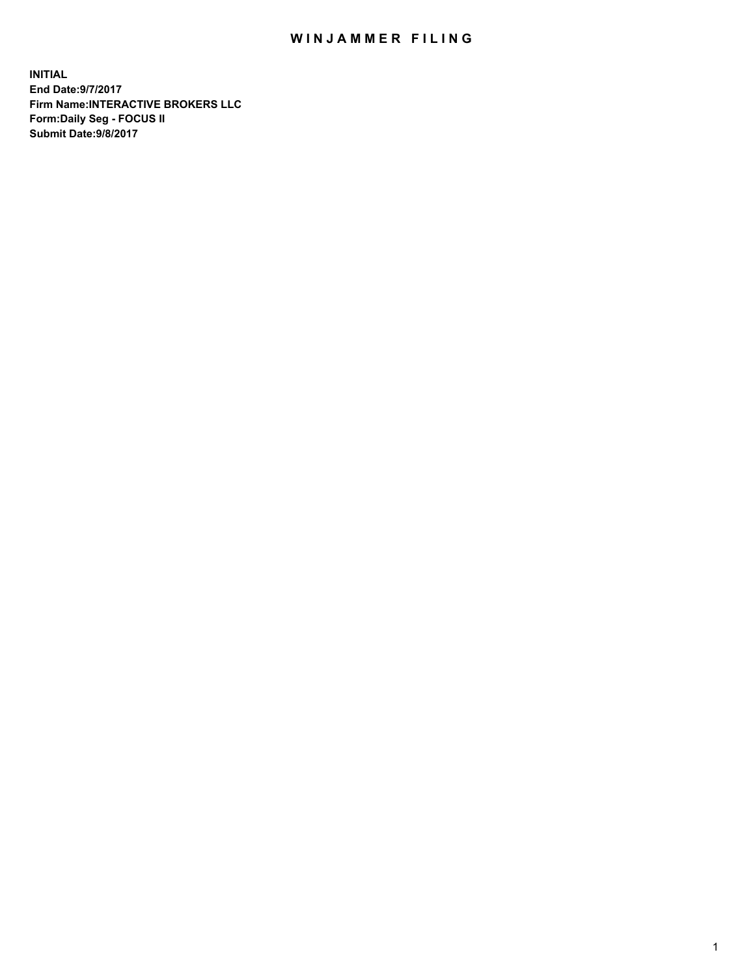## WIN JAMMER FILING

**INITIAL End Date:9/7/2017 Firm Name:INTERACTIVE BROKERS LLC Form:Daily Seg - FOCUS II Submit Date:9/8/2017**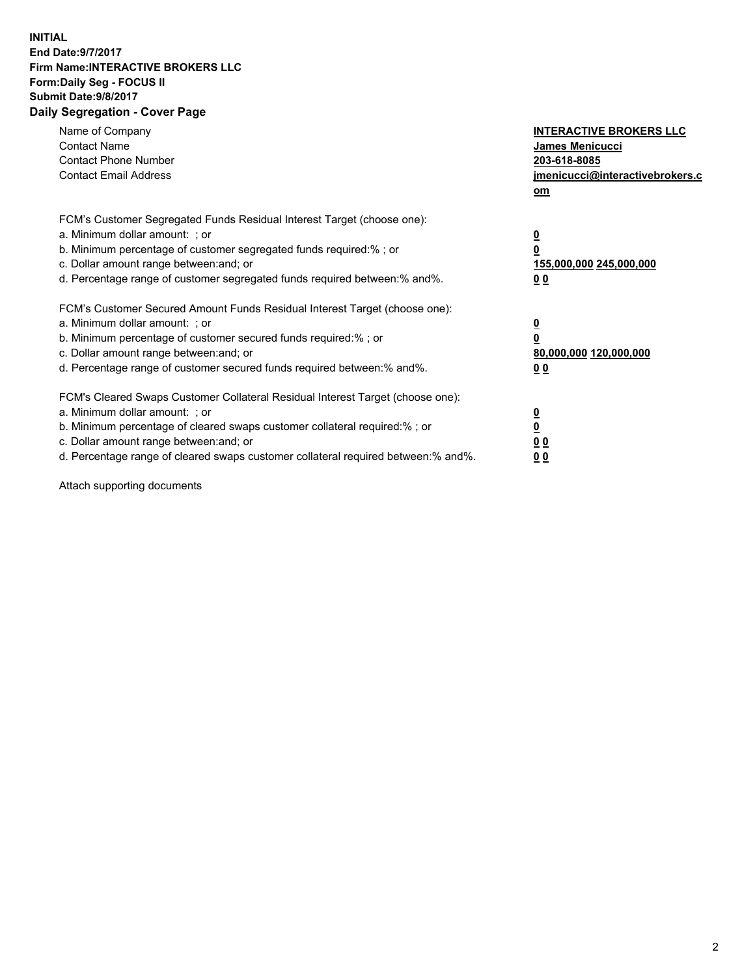## **INITIAL End Date:9/7/2017 Firm Name:INTERACTIVE BROKERS LLC Form:Daily Seg - FOCUS II Submit Date:9/8/2017 Daily Segregation - Cover Page**

| Name of Company<br><b>Contact Name</b><br><b>Contact Phone Number</b><br><b>Contact Email Address</b>                                                                                                                                                                                                                          | <b>INTERACTIVE BROKERS LLC</b><br>James Menicucci<br>203-618-8085<br>jmenicucci@interactivebrokers.c<br>om |
|--------------------------------------------------------------------------------------------------------------------------------------------------------------------------------------------------------------------------------------------------------------------------------------------------------------------------------|------------------------------------------------------------------------------------------------------------|
| FCM's Customer Segregated Funds Residual Interest Target (choose one):<br>a. Minimum dollar amount: ; or<br>b. Minimum percentage of customer segregated funds required:% ; or<br>c. Dollar amount range between: and; or<br>d. Percentage range of customer segregated funds required between:% and%.                         | $\overline{\mathbf{0}}$<br>0<br>155,000,000 245,000,000<br>0 <sub>0</sub>                                  |
| FCM's Customer Secured Amount Funds Residual Interest Target (choose one):<br>a. Minimum dollar amount: ; or<br>b. Minimum percentage of customer secured funds required:%; or<br>c. Dollar amount range between: and; or<br>d. Percentage range of customer secured funds required between: % and %.                          | $\overline{\mathbf{0}}$<br>0<br>80,000,000 120,000,000<br>0 <sub>0</sub>                                   |
| FCM's Cleared Swaps Customer Collateral Residual Interest Target (choose one):<br>a. Minimum dollar amount: ; or<br>b. Minimum percentage of cleared swaps customer collateral required:% ; or<br>c. Dollar amount range between: and; or<br>d. Percentage range of cleared swaps customer collateral required between:% and%. | $\overline{\mathbf{0}}$<br>$\overline{\mathbf{0}}$<br>0 <sub>0</sub><br>0 <sub>0</sub>                     |

Attach supporting documents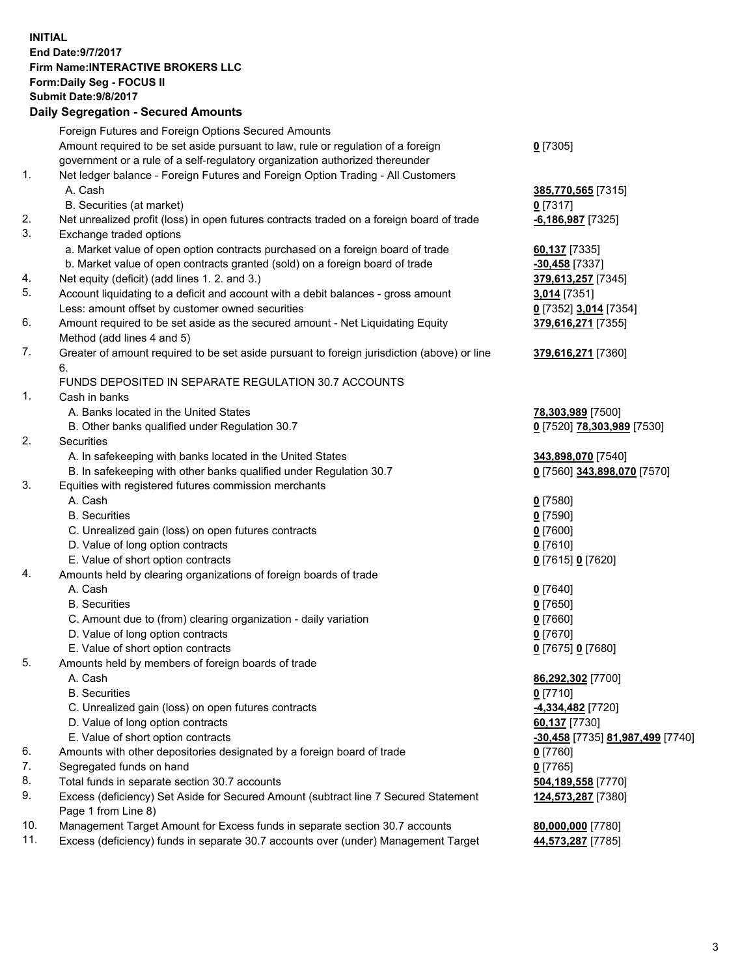## **INITIAL End Date:9/7/2017 Firm Name:INTERACTIVE BROKERS LLC Form:Daily Seg - FOCUS II Submit Date:9/8/2017 Daily Segregation - Secured Amounts**

|     | Foreign Futures and Foreign Options Secured Amounts                                         |                                  |
|-----|---------------------------------------------------------------------------------------------|----------------------------------|
|     | Amount required to be set aside pursuant to law, rule or regulation of a foreign            | $0$ [7305]                       |
|     | government or a rule of a self-regulatory organization authorized thereunder                |                                  |
| 1.  | Net ledger balance - Foreign Futures and Foreign Option Trading - All Customers             |                                  |
|     | A. Cash                                                                                     | 385,770,565 [7315]               |
|     | B. Securities (at market)                                                                   | $0$ [7317]                       |
| 2.  | Net unrealized profit (loss) in open futures contracts traded on a foreign board of trade   | $-6,186,987$ [7325]              |
| 3.  | Exchange traded options                                                                     |                                  |
|     | a. Market value of open option contracts purchased on a foreign board of trade              | 60,137 [7335]                    |
|     | b. Market value of open contracts granted (sold) on a foreign board of trade                | $-30,458$ [7337]                 |
| 4.  | Net equity (deficit) (add lines 1.2. and 3.)                                                | 379,613,257 [7345]               |
| 5.  | Account liquidating to a deficit and account with a debit balances - gross amount           | 3,014 [7351]                     |
|     | Less: amount offset by customer owned securities                                            | 0 [7352] 3,014 [7354]            |
| 6.  | Amount required to be set aside as the secured amount - Net Liquidating Equity              | 379,616,271 [7355]               |
|     | Method (add lines 4 and 5)                                                                  |                                  |
| 7.  | Greater of amount required to be set aside pursuant to foreign jurisdiction (above) or line |                                  |
|     | 6.                                                                                          | 379,616,271 [7360]               |
|     |                                                                                             |                                  |
|     | FUNDS DEPOSITED IN SEPARATE REGULATION 30.7 ACCOUNTS                                        |                                  |
| 1.  | Cash in banks                                                                               |                                  |
|     | A. Banks located in the United States                                                       | 78,303,989 [7500]                |
|     | B. Other banks qualified under Regulation 30.7                                              | 0 [7520] 78,303,989 [7530]       |
| 2.  | Securities                                                                                  |                                  |
|     | A. In safekeeping with banks located in the United States                                   | 343,898,070 [7540]               |
|     | B. In safekeeping with other banks qualified under Regulation 30.7                          | 0 [7560] 343,898,070 [7570]      |
| 3.  | Equities with registered futures commission merchants                                       |                                  |
|     | A. Cash                                                                                     | $0$ [7580]                       |
|     | <b>B.</b> Securities                                                                        | $0$ [7590]                       |
|     | C. Unrealized gain (loss) on open futures contracts                                         | $0$ [7600]                       |
|     | D. Value of long option contracts                                                           | $0$ [7610]                       |
|     | E. Value of short option contracts                                                          | 0 [7615] 0 [7620]                |
| 4.  | Amounts held by clearing organizations of foreign boards of trade                           |                                  |
|     | A. Cash                                                                                     | $0$ [7640]                       |
|     | <b>B.</b> Securities                                                                        | $0$ [7650]                       |
|     | C. Amount due to (from) clearing organization - daily variation                             | $0$ [7660]                       |
|     | D. Value of long option contracts                                                           | $0$ [7670]                       |
|     | E. Value of short option contracts                                                          | 0 [7675] 0 [7680]                |
| 5.  | Amounts held by members of foreign boards of trade                                          |                                  |
|     | A. Cash                                                                                     | 86,292,302 [7700]                |
|     | <b>B.</b> Securities                                                                        | $0$ [7710]                       |
|     | C. Unrealized gain (loss) on open futures contracts                                         | -4,334,482 <sup>[7720]</sup>     |
|     | D. Value of long option contracts                                                           | 60,137 [7730]                    |
|     |                                                                                             |                                  |
|     | E. Value of short option contracts                                                          | -30,458 [7735] 81,987,499 [7740] |
| 6.  | Amounts with other depositories designated by a foreign board of trade                      | $0$ [7760]                       |
| 7.  | Segregated funds on hand                                                                    | $0$ [7765]                       |
| 8.  | Total funds in separate section 30.7 accounts                                               | 504,189,558 [7770]               |
| 9.  | Excess (deficiency) Set Aside for Secured Amount (subtract line 7 Secured Statement         | 124,573,287 [7380]               |
|     | Page 1 from Line 8)                                                                         |                                  |
| 10. | Management Target Amount for Excess funds in separate section 30.7 accounts                 | 80,000,000 [7780]                |
| 11. | Excess (deficiency) funds in separate 30.7 accounts over (under) Management Target          | 44,573,287 [7785]                |
|     |                                                                                             |                                  |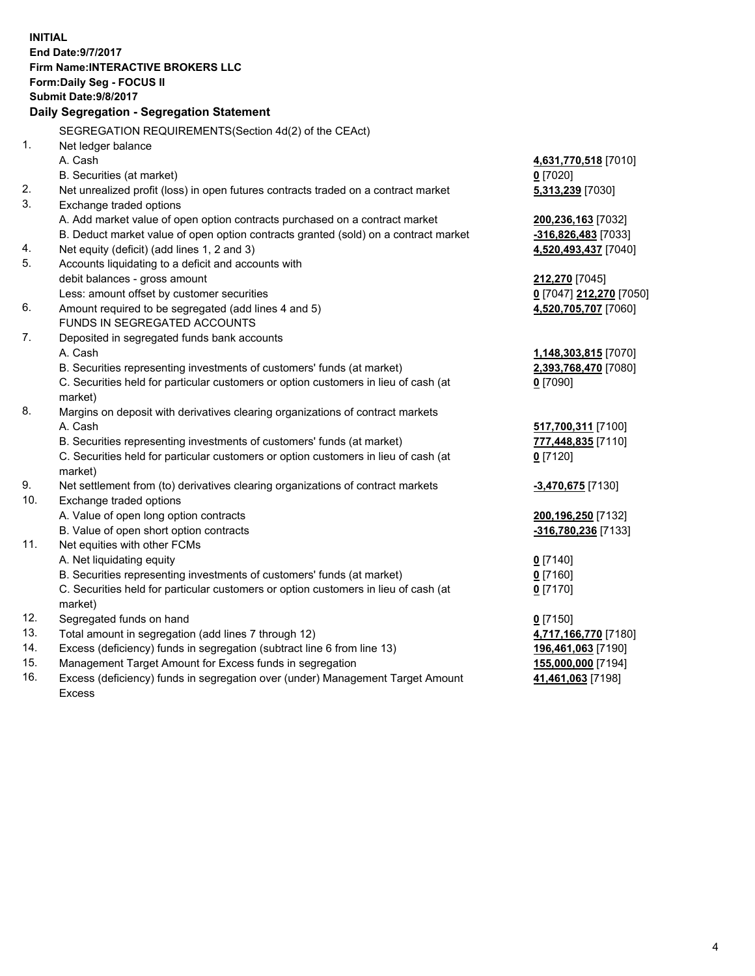**INITIAL End Date:9/7/2017 Firm Name:INTERACTIVE BROKERS LLC Form:Daily Seg - FOCUS II Submit Date:9/8/2017 Daily Segregation - Segregation Statement** SEGREGATION REQUIREMENTS(Section 4d(2) of the CEAct) 1. Net ledger balance A. Cash **4,631,770,518** [7010] B. Securities (at market) **0** [7020] 2. Net unrealized profit (loss) in open futures contracts traded on a contract market **5,313,239** [7030] 3. Exchange traded options A. Add market value of open option contracts purchased on a contract market **200,236,163** [7032] B. Deduct market value of open option contracts granted (sold) on a contract market **-316,826,483** [7033] 4. Net equity (deficit) (add lines 1, 2 and 3) **4,520,493,437** [7040] 5. Accounts liquidating to a deficit and accounts with debit balances - gross amount **212,270** [7045] Less: amount offset by customer securities **0** [7047] **212,270** [7050] 6. Amount required to be segregated (add lines 4 and 5) **4,520,705,707** [7060] FUNDS IN SEGREGATED ACCOUNTS 7. Deposited in segregated funds bank accounts A. Cash **1,148,303,815** [7070] B. Securities representing investments of customers' funds (at market) **2,393,768,470** [7080] C. Securities held for particular customers or option customers in lieu of cash (at market) **0** [7090] 8. Margins on deposit with derivatives clearing organizations of contract markets A. Cash **517,700,311** [7100] B. Securities representing investments of customers' funds (at market) **777,448,835** [7110] C. Securities held for particular customers or option customers in lieu of cash (at market) **0** [7120] 9. Net settlement from (to) derivatives clearing organizations of contract markets **-3,470,675** [7130] 10. Exchange traded options A. Value of open long option contracts **200,196,250** [7132] B. Value of open short option contracts **-316,780,236** [7133] 11. Net equities with other FCMs A. Net liquidating equity **0** [7140] B. Securities representing investments of customers' funds (at market) **0** [7160] C. Securities held for particular customers or option customers in lieu of cash (at market) **0** [7170] 12. Segregated funds on hand **0** [7150] 13. Total amount in segregation (add lines 7 through 12) **4,717,166,770** [7180] 14. Excess (deficiency) funds in segregation (subtract line 6 from line 13) **196,461,063** [7190] 15. Management Target Amount for Excess funds in segregation **155,000,000** [7194] 16. Excess (deficiency) funds in segregation over (under) Management Target Amount **41,461,063** [7198]

Excess